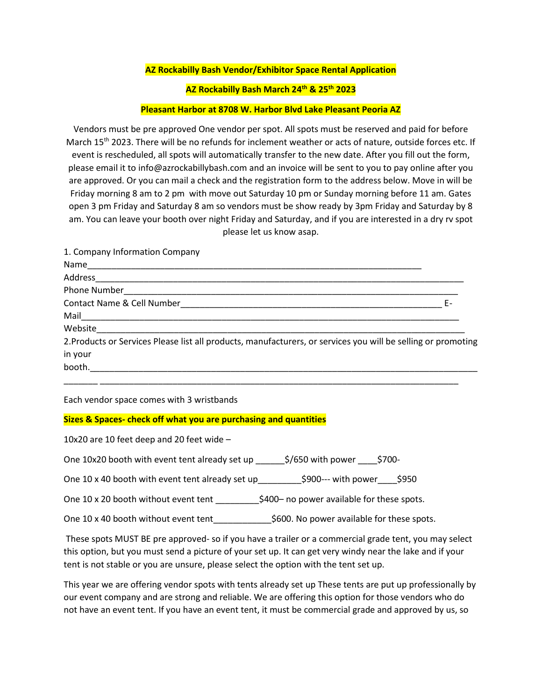## **AZ Rockabilly Bash Vendor/Exhibitor Space Rental Application**

## **AZ Rockabilly Bash March 24 th & 25th 2023**

## **Pleasant Harbor at 8708 W. Harbor Blvd Lake Pleasant Peoria AZ**

Vendors must be pre approved One vendor per spot. All spots must be reserved and paid for before March 15<sup>th</sup> 2023. There will be no refunds for inclement weather or acts of nature, outside forces etc. If event is rescheduled, all spots will automatically transfer to the new date. After you fill out the form, please email it to info@azrockabillybash.com and an invoice will be sent to you to pay online after you are approved. Or you can mail a check and the registration form to the address below. Move in will be Friday morning 8 am to 2 pm with move out Saturday 10 pm or Sunday morning before 11 am. Gates open 3 pm Friday and Saturday 8 am so vendors must be show ready by 3pm Friday and Saturday by 8 am. You can leave your booth over night Friday and Saturday, and if you are interested in a dry rv spot please let us know asap.

| 1. Company Information Company                                                                                                                                                                                                |    |
|-------------------------------------------------------------------------------------------------------------------------------------------------------------------------------------------------------------------------------|----|
|                                                                                                                                                                                                                               |    |
|                                                                                                                                                                                                                               |    |
|                                                                                                                                                                                                                               |    |
|                                                                                                                                                                                                                               | F- |
|                                                                                                                                                                                                                               |    |
| Website Participate and Contract and Contract of the Contract of the Contract of the Contract of the Contract of the Contract of the Contract of the Contract of the Contract of the Contract of the Contract of the Contract |    |
| 2. Products or Services Please list all products, manufacturers, or services you will be selling or promoting                                                                                                                 |    |
| in your                                                                                                                                                                                                                       |    |
| booth.                                                                                                                                                                                                                        |    |
|                                                                                                                                                                                                                               |    |
|                                                                                                                                                                                                                               |    |

Each vendor space comes with 3 wristbands

## **Sizes & Spaces- check off what you are purchasing and quantities**

10x20 are 10 feet deep and 20 feet wide –

One 10x20 booth with event tent already set up \_\_\_\_\_\_\$/650 with power \_\_\_\_\$700-

One 10 x 40 booth with event tent already set up\_\_\_\_\_\_\_\_\_\$900--- with power\_\_\_\_\$950

One 10 x 20 booth without event tent \_\_\_\_\_\_\_\_\_\_\_\_\$400- no power available for these spots.

One 10 x 40 booth without event tent \_\_\_\_\_\_\_\_\_\_\_\_\_\_\$600. No power available for these spots.

These spots MUST BE pre approved- so if you have a trailer or a commercial grade tent, you may select this option, but you must send a picture of your set up. It can get very windy near the lake and if your tent is not stable or you are unsure, please select the option with the tent set up.

This year we are offering vendor spots with tents already set up These tents are put up professionally by our event company and are strong and reliable. We are offering this option for those vendors who do not have an event tent. If you have an event tent, it must be commercial grade and approved by us, so